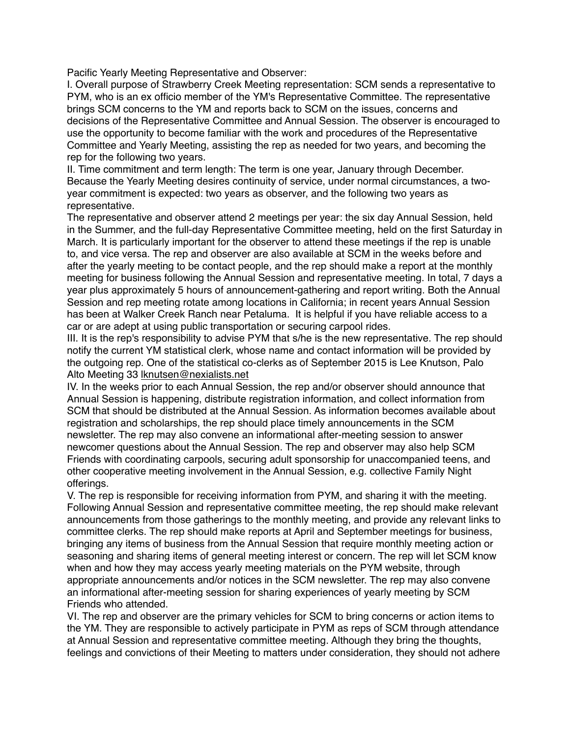Pacific Yearly Meeting Representative and Observer:

I. Overall purpose of Strawberry Creek Meeting representation: SCM sends a representative to PYM, who is an ex officio member of the YM's Representative Committee. The representative brings SCM concerns to the YM and reports back to SCM on the issues, concerns and decisions of the Representative Committee and Annual Session. The observer is encouraged to use the opportunity to become familiar with the work and procedures of the Representative Committee and Yearly Meeting, assisting the rep as needed for two years, and becoming the rep for the following two years.

II. Time commitment and term length: The term is one year, January through December. Because the Yearly Meeting desires continuity of service, under normal circumstances, a twoyear commitment is expected: two years as observer, and the following two years as representative.

The representative and observer attend 2 meetings per year: the six day Annual Session, held in the Summer, and the full-day Representative Committee meeting, held on the first Saturday in March. It is particularly important for the observer to attend these meetings if the rep is unable to, and vice versa. The rep and observer are also available at SCM in the weeks before and after the yearly meeting to be contact people, and the rep should make a report at the monthly meeting for business following the Annual Session and representative meeting. In total, 7 days a year plus approximately 5 hours of announcement-gathering and report writing. Both the Annual Session and rep meeting rotate among locations in California; in recent years Annual Session has been at Walker Creek Ranch near Petaluma. It is helpful if you have reliable access to a car or are adept at using public transportation or securing carpool rides.

III. It is the rep's responsibility to advise PYM that s/he is the new representative. The rep should notify the current YM statistical clerk, whose name and contact information will be provided by the outgoing rep. One of the statistical co-clerks as of September 2015 is Lee Knutson, Palo Alto Meeting 33 [lknutsen@nexialists.net](mailto:lknutsen@nexialists.net)

IV. In the weeks prior to each Annual Session, the rep and/or observer should announce that Annual Session is happening, distribute registration information, and collect information from SCM that should be distributed at the Annual Session. As information becomes available about registration and scholarships, the rep should place timely announcements in the SCM newsletter. The rep may also convene an informational after-meeting session to answer newcomer questions about the Annual Session. The rep and observer may also help SCM Friends with coordinating carpools, securing adult sponsorship for unaccompanied teens, and other cooperative meeting involvement in the Annual Session, e.g. collective Family Night offerings.

V. The rep is responsible for receiving information from PYM, and sharing it with the meeting. Following Annual Session and representative committee meeting, the rep should make relevant announcements from those gatherings to the monthly meeting, and provide any relevant links to committee clerks. The rep should make reports at April and September meetings for business, bringing any items of business from the Annual Session that require monthly meeting action or seasoning and sharing items of general meeting interest or concern. The rep will let SCM know when and how they may access yearly meeting materials on the PYM website, through appropriate announcements and/or notices in the SCM newsletter. The rep may also convene an informational after-meeting session for sharing experiences of yearly meeting by SCM Friends who attended.

VI. The rep and observer are the primary vehicles for SCM to bring concerns or action items to the YM. They are responsible to actively participate in PYM as reps of SCM through attendance at Annual Session and representative committee meeting. Although they bring the thoughts, feelings and convictions of their Meeting to matters under consideration, they should not adhere